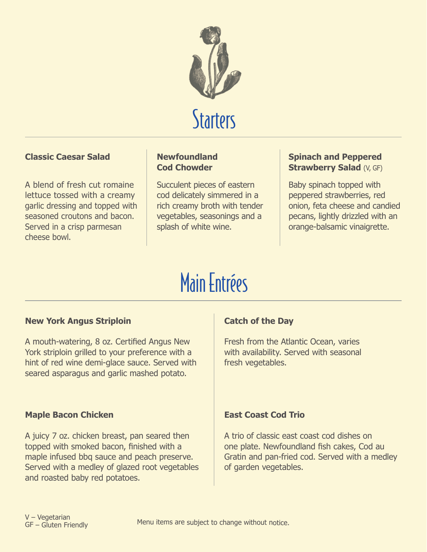

# **Starters**

## **Classic Caesar Salad**

A blend of fresh cut romaine lettuce tossed with a creamy garlic dressing and topped with seasoned croutons and bacon. Served in a crisp parmesan cheese bowl.

#### **Newfoundland Cod Chowder**

Succulent pieces of eastern cod delicately simmered in a rich creamy broth with tender vegetables, seasonings and a splash of white wine.

#### **Spinach and Peppered Strawberry Salad (V, GF)**

Baby spinach topped with peppered strawberries, red onion, feta cheese and candied pecans, lightly drizzled with an orange-balsamic vinaigrette.

# Main Entrées

## **New York Angus Striploin**

A mouth-watering, 8 oz. Certified Angus New York striploin grilled to your preference with a hint of red wine demi-glace sauce. Served with seared asparagus and garlic mashed potato.

## **Maple Bacon Chicken**

A juicy 7 oz. chicken breast, pan seared then topped with smoked bacon, finished with a maple infused bbq sauce and peach preserve. Served with a medley of glazed root vegetables and roasted baby red potatoes.

# **Catch of the Day**

Fresh from the Atlantic Ocean, varies with availability. Served with seasonal fresh vegetables.

## **East Coast Cod Trio**

A trio of classic east coast cod dishes on one plate. Newfoundland fish cakes, Cod au Gratin and pan-fried cod. Served with a medley of garden vegetables.